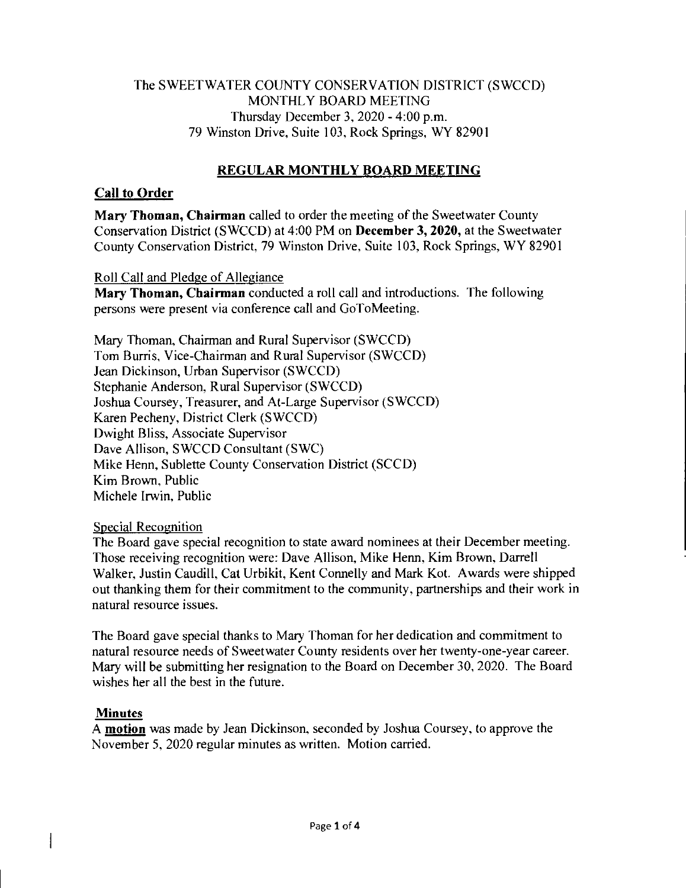# The SWEETWATER COUNTY CONSERVATION DISTRICT (SWCCD) MONTHLY BOARD MEETING Thursday December 3, 2020 - 4:00 p.m. 79 Winston Drive, Suite 103, Rock Springs, WY 82901

# **REGULAR MONTHLY BOARD MEETING**

# **Call to Order**

**Mary Thoman, Chairman** called to order the meeting of the Sweetwater County Conservation District (SWCCD) at 4:00 PM on **December 3, 2020,** at the Sweetwater County Conservation District, 79 Winston Drive, Suite 103, Rock Springs, WY 82901

### Roll Call and Pledge of Allegiance

**Mary Thoman, Chairman** conducted a roll call and introductions. The following persons were present via conference call and GoToMeeting.

Mary Thoman, Chairman and Rural Supervisor (SWCCD) Tom Burris, Vice-Chairman and Rural Supervisor (SWCCD) Jean Dickinson, Urban Supervisor (SWCCD) Stephanie Anderson, Rural Supervisor (SWCCD) Joshua Coursey, Treasurer, and At-Large Supervisor (SWCCD) Karen Pecheny, District Clerk (SWCCD) Dwight Bliss, Associate Supervisor Dave Allison, SWCCD Consultant (SWC) Mike Henn, Sublette County Conservation District (SCCD) Kim Brown, Public Michele Irwin, Public

### Special Recognition

The Board gave special recognition to state award nominees at their December meeting. Those receiving recognition were: Dave Allison, Mike Henn, Kim Brown, Darrell Walker, Justin Caudill, Cat Urbikit, Kent Connelly and Mark Kot. Awards were shipped out thanking them for their commitment to the community, partnerships and their work in natural resource issues.

The Board gave special thanks to Mary Thoman for her dedication and commitment to natural resource needs of Sweetwater County residents over her twenty-one-year career. Mary will be submitting her resignation to the Board on December 30, 2020. The Board wishes her all the best in the future.

### **Minutes**

 $\mathbf{I}$ 

A **motion** was made by Jean Dickinson, seconded by Joshua Coursey, to approve the November 5, 2020 regular minutes as written. Motion carried.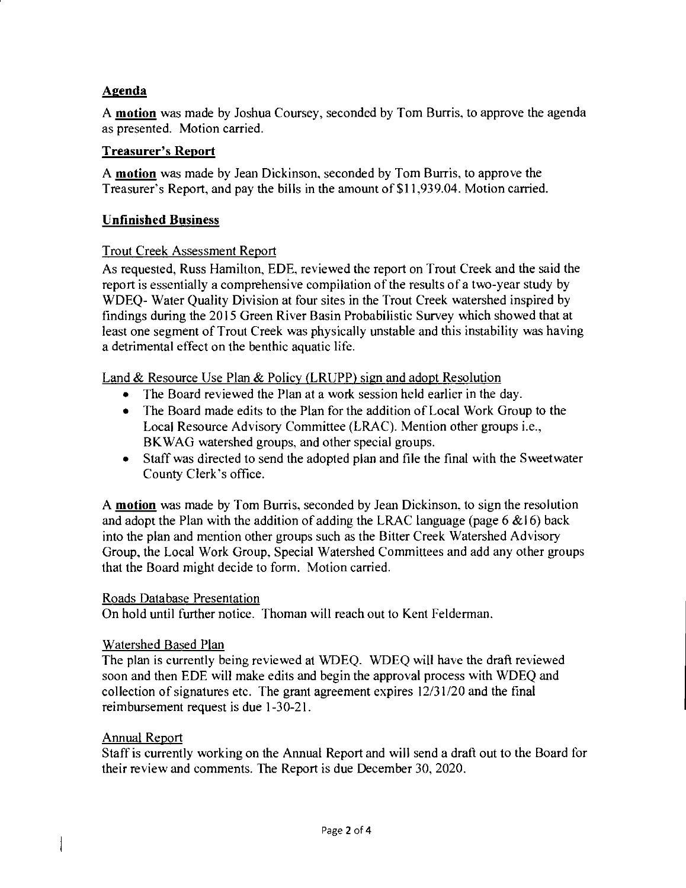### **Agenda**

A **motion** was made by Joshua Coursey, seconded by Tom Burris, to approve the agenda as presented. Motion carried.

### **Treasurer's Report**

A **motion** was made by Jean Dickinson, seconded by Tom Burris, to approve the Treasurer's Report, and pay the bills in the amount of \$11,939.04. Motion carried.

# **Unfinished Business**

# Trout Creek Assessment Report

As requested, Russ Hamilton, EDE, reviewed the report on Trout Creek and the said the report is essentially a comprehensive compilation of the results of a two-year study by WDEQ- Water Quality Division at four sites in the Trout Creek watershed inspired by findings during the 2015 Green River Basin Probabilistic Survey which showed that at least one segment of Trout Creek was physically unstable and this instability was having a detrimental effect on the benthic aquatic life.

Land & Resource Use Plan & Policy (LRUPP) sign and adopt Resolution

- The Board reviewed the Plan at a work session held earlier in the day.
- The Board made edits to the Plan for the addition of Local Work Group to the Local Resource Advisory Committee (LRAC). Mention other groups i.e., BKWAG watershed groups, and other special groups.
- Staff was directed to send the adopted plan and file the final with the Sweetwater County Clerk's office.

A **motion** was made by Tom Burris, seconded by Jean Dickinson, to sign the resolution and adopt the Plan with the addition of adding the LRAC language (page  $6 \& 16$ ) back into the plan and mention other groups such as the Bitter Creek Watershed Advisory Group, the Local Work Group, Special Watershed Committees and add any other groups that the Board might decide to form. Motion carried.

### Roads Database Presentation

On hold until further notice. Thoman will reach out to Kent Felderman.

### Watershed Based Plan

The plan is currently being reviewed at WDEQ. WDEQ will have the draft reviewed soon and then EDE will make edits and begin the approval process with WDEQ and collection of signatures etc. The grant agreement expires 12/31/20 and the final reimbursement request is due 1-30-21.

### Annual Report

 $\mathbf{\mathbf{I}}$ 

Staff is currently working on the Annual Report and will send a draft out to the Board for their review and comments. The Report is due December 30, 2020.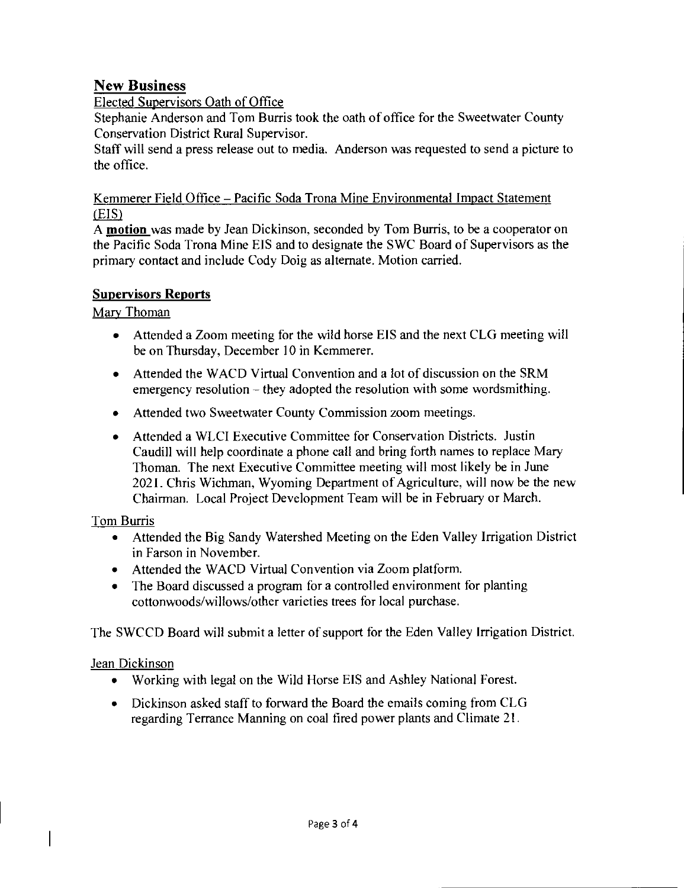# New Business

# Elected Supervisors Oath of Office

Stephanie Anderson and Tom Burris took the oath of office for the Sweetwater County Conservation District Rural Supervisor.

Staff will send a press release out to media. Anderson was requested to send a picture to the office.

# Kemmerer Field Office — Pacific Soda Trona Mine Environmental Impact Statement (EIS)

A **motion** was made by Jean Dickinson, seconded by Tom Burris, to be a cooperator on the Pacific Soda Trona Mine EIS and to designate the SWC Board of Supervisors as the primary contact and include Cody Doig as alternate. Motion carried.

# **Supervisors Reports**

# Mary Thoman

- Attended a Zoom meeting for the wild horse EIS and the next CLG meeting will be on Thursday, December 10 in Kemmerer.
- Attended the WACD Virtual Convention and a lot of discussion on the SRM emergency resolution — they adopted the resolution with some wordsmithing.
- Attended two Sweetwater County Commission zoom meetings.
- Attended a WLCI Executive Committee for Conservation Districts. Justin Caudill will help coordinate a phone call and bring forth names to replace Mary Thoman. The next Executive Committee meeting will most likely be in June 2021. Chris Wichman, Wyoming Department of Agriculture, will now be the new Chairman. Local Project Development Team will be in February or March.

### Tom Burris

- Attended the Big Sandy Watershed Meeting on the Eden Valley Irrigation District in Farson in November.
- Attended the WACD Virtual Convention via Zoom platform.
- The Board discussed a program for a controlled environment for planting cottonwoods/willows/other varieties trees for local purchase.

The SWCCD Board will submit a letter of support for the Eden Valley Irrigation District.

# Jean Dickinson

 $\overline{\phantom{a}}$ 

- Working with legal on the Wild Horse EIS and Ashley National Forest.
- Dickinson asked staff to forward the Board the emails coming from CLG regarding Terrance Manning on coal fired power plants and Climate 21.